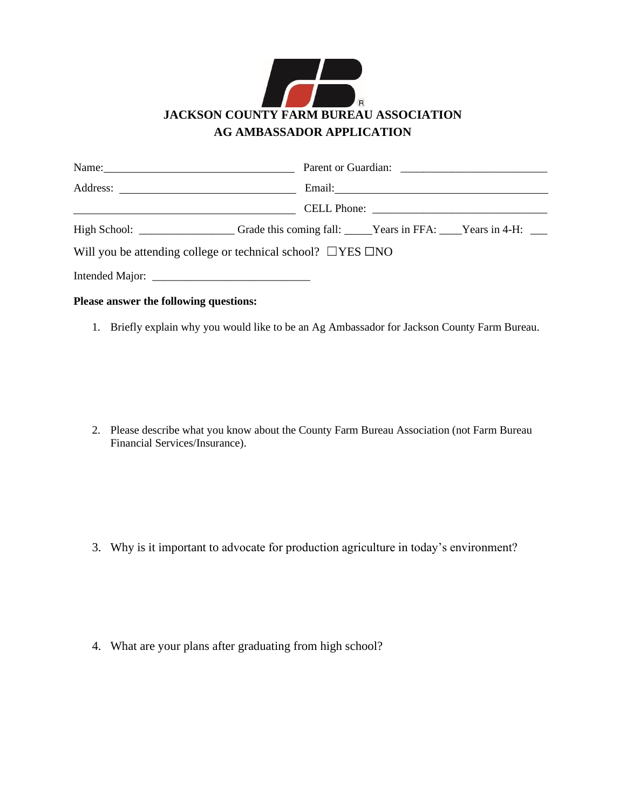

|                                                                         | High School: _______________________Grade this coming fall: _____Years in FFA: ____Years in 4-H: ___ |
|-------------------------------------------------------------------------|------------------------------------------------------------------------------------------------------|
| Will you be attending college or technical school? $\Box$ YES $\Box$ NO |                                                                                                      |
|                                                                         |                                                                                                      |
| Please answer the following questions:                                  |                                                                                                      |

1. Briefly explain why you would like to be an Ag Ambassador for Jackson County Farm Bureau.

2. Please describe what you know about the County Farm Bureau Association (not Farm Bureau Financial Services/Insurance).

3. Why is it important to advocate for production agriculture in today's environment?

4. What are your plans after graduating from high school?